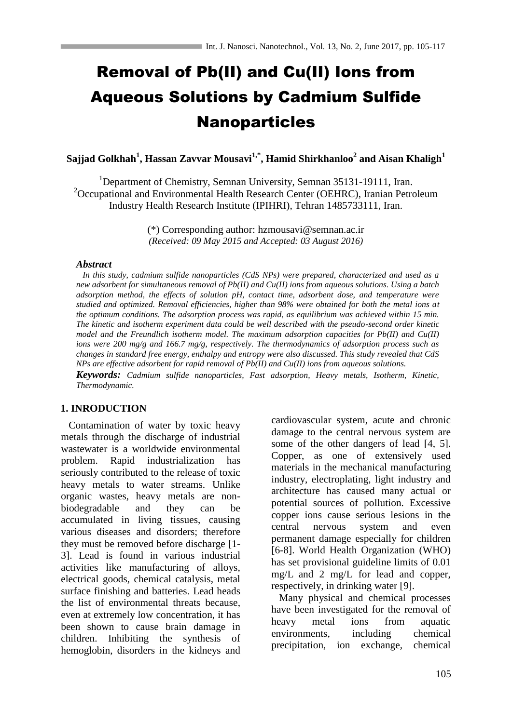# Removal of Pb(II) and Cu(II) Ions from Aqueous Solutions by Cadmium Sulfide Nanoparticles

**Sajjad Golkhah<sup>1</sup> , Hassan Zavvar Mousavi1,\* , Hamid Shirkhanloo<sup>2</sup> and Aisan Khaligh<sup>1</sup>**

<sup>1</sup>Department of Chemistry, Semnan University, Semnan 35131-19111, Iran.  $2$ Occupational and Environmental Health Research Center (OEHRC), Iranian Petroleum Industry Health Research Institute (IPIHRI), Tehran 1485733111, Iran.

> (\*) Corresponding author: hzmousavi@semnan.ac.ir *(Received: 09 May 2015 and Accepted: 03 August 2016)*

## *Abstract*

 *In this study, cadmium sulfide nanoparticles (CdS NPs) were prepared, characterized and used as a new adsorbent for simultaneous removal of Pb(II) and Cu(II) ions from aqueous solutions. Using a batch adsorption method, the effects of solution pH, contact time, adsorbent dose, and temperature were studied and optimized. Removal efficiencies, higher than 98% were obtained for both the metal ions at the optimum conditions. The adsorption process was rapid, as equilibrium was achieved within 15 min. The kinetic and isotherm experiment data could be well described with the pseudo-second order kinetic model and the Freundlich isotherm model. The maximum adsorption capacities for Pb(II) and Cu(II) ions were 200 mg/g and 166.7 mg/g, respectively. The thermodynamics of adsorption process such as changes in standard free energy, enthalpy and entropy were also discussed. This study revealed that CdS NPs are effective adsorbent for rapid removal of Pb(II) and Cu(II) ions from aqueous solutions.*

*Keywords: Cadmium sulfide nanoparticles, Fast adsorption, Heavy metals, Isotherm, Kinetic, Thermodynamic.*

# **1. INRODUCTION**

Contamination of water by toxic heavy metals through the discharge of industrial wastewater is a worldwide environmental problem. Rapid industrialization has seriously contributed to the release of toxic heavy metals to water streams. Unlike organic wastes, heavy metals are nonbiodegradable and they can be accumulated in living tissues, causing various diseases and disorders; therefore they must be removed before discharge [\[1-](#page-9-0) [3\]](#page-9-0). Lead is found in various industrial activities like manufacturing of alloys, electrical goods, chemical catalysis, metal surface finishing and batteries. Lead heads the list of environmental threats because, even at extremely low concentration, it has been shown to cause brain damage in children. Inhibiting the synthesis of hemoglobin, disorders in the kidneys and cardiovascular system, acute and chronic damage to the central nervous system are some of the other dangers of lead [\[4,](#page-9-1) [5\]](#page-9-2). Copper, as one of extensively used materials in the mechanical manufacturing industry, electroplating, light industry and architecture has caused many actual or potential sources of pollution. Excessive copper ions cause serious lesions in the central nervous system and even permanent damage especially for children [\[6-8\]](#page-9-3). World Health Organization (WHO) has set provisional guideline limits of 0.01 mg/L and 2 mg/L for lead and copper, respectively, in drinking water [\[9\]](#page-10-0).

Many physical and chemical processes have been investigated for the removal of heavy metal ions from aquatic environments, including chemical precipitation, ion exchange, chemical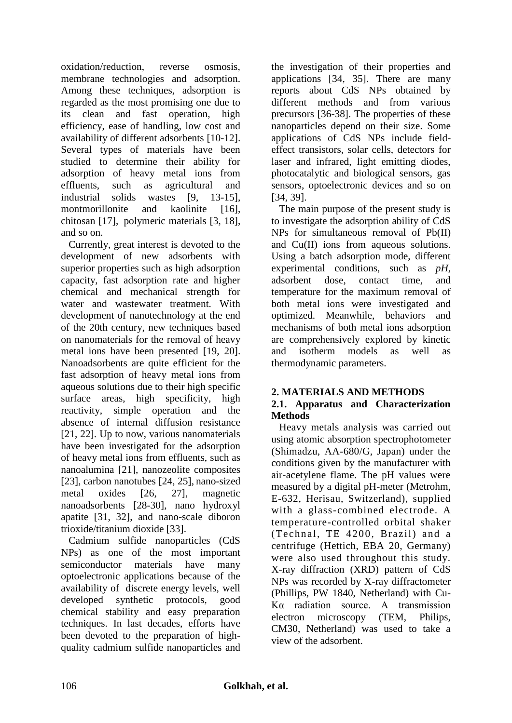oxidation/reduction, reverse osmosis, membrane technologies and adsorption. Among these techniques, adsorption is regarded as the most promising one due to its clean and fast operation, high efficiency, ease of handling, low cost and availability of different adsorbents [\[10-12\]](#page-10-1). Several types of materials have been studied to determine their ability for adsorption of heavy metal ions from effluents, such as agricultural and industrial solids wastes [\[9,](#page-10-0) [13-15\]](#page-10-2), montmorillonite and kaolinite [\[16\]](#page-10-3), chitosan [\[17\]](#page-10-4), polymeric materials [\[3,](#page-9-4) [18\]](#page-10-5), and so on.

Currently, great interest is devoted to the development of new adsorbents with superior properties such as high adsorption capacity, fast adsorption rate and higher chemical and mechanical strength for water and wastewater treatment. With development of nanotechnology at the end of the 20th century, new techniques based on nanomaterials for the removal of heavy metal ions have been presented [\[19,](#page-10-6) [20\]](#page-10-7). Nanoadsorbents are quite efficient for the fast adsorption of heavy metal ions from aqueous solutions due to their high specific surface areas, high specificity, high reactivity, simple operation and the absence of internal diffusion resistance [\[21,](#page-10-8) [22\]](#page-10-9). Up to now, various nanomaterials have been investigated for the adsorption of heavy metal ions from effluents, such as nanoalumina [\[21\]](#page-10-8), nanozeolite composites [\[23\]](#page-10-10), carbon nanotubes [\[24,](#page-10-11) [25\]](#page-10-12), nano-sized metal oxides [\[26,](#page-10-13) [27\]](#page-10-14), magnetic nanoadsorbents [\[28-30\]](#page-10-15), nano hydroxyl apatite [\[31,](#page-10-16) [32\]](#page-10-17), and nano-scale diboron trioxide/titanium dioxide [\[33\]](#page-10-18).

Cadmium sulfide nanoparticles (CdS NPs) as one of the most important semiconductor materials have many optoelectronic applications because of the availability of discrete energy levels, well developed synthetic protocols, good chemical stability and easy preparation techniques. In last decades, efforts have been devoted to the preparation of highquality cadmium sulfide nanoparticles and the investigation of their properties and applications [\[34,](#page-10-19) [35\]](#page-10-20). There are many reports about CdS NPs obtained by different methods and from various precursors [\[36-38\]](#page-10-21). The properties of these nanoparticles depend on their size. Some applications of CdS NPs include fieldeffect transistors, solar cells, detectors for laser and infrared, light emitting diodes, photocatalytic and biological sensors, gas sensors, optoelectronic devices and so on [\[34,](#page-10-19) [39\]](#page-11-0).

The main purpose of the present study is to investigate the adsorption ability of CdS NPs for simultaneous removal of Pb(II) and Cu(II) ions from aqueous solutions. Using a batch adsorption mode, different experimental conditions, such as *pH*, adsorbent dose, contact time, and temperature for the maximum removal of both metal ions were investigated and optimized. Meanwhile, behaviors and mechanisms of both metal ions adsorption are comprehensively explored by kinetic and isotherm models as well as thermodynamic parameters.

# **2. MATERIALS AND METHODS**

# **2.1. Apparatus and Characterization Methods**

 Heavy metals analysis was carried out using atomic absorption spectrophotometer (Shimadzu, AA-680/G, Japan) under the conditions given by the manufacturer with air-acetylene flame. The pH values were measured by a digital pH-meter (Metrohm, E-632, Herisau, Switzerland), supplied with a glass-combined electrode. A temperature-controlled orbital shaker (Technal, TE 4200, Brazil) and a centrifuge (Hettich, EBA 20, Germany) were also used throughout this study. X-ray diffraction (XRD) pattern of CdS NPs was recorded by X-ray diffractometer (Phillips, PW 1840, Netherland) with Cu-Kα radiation source. A transmission electron microscopy (TEM, Philips, CM30, Netherland) was used to take a view of the adsorbent.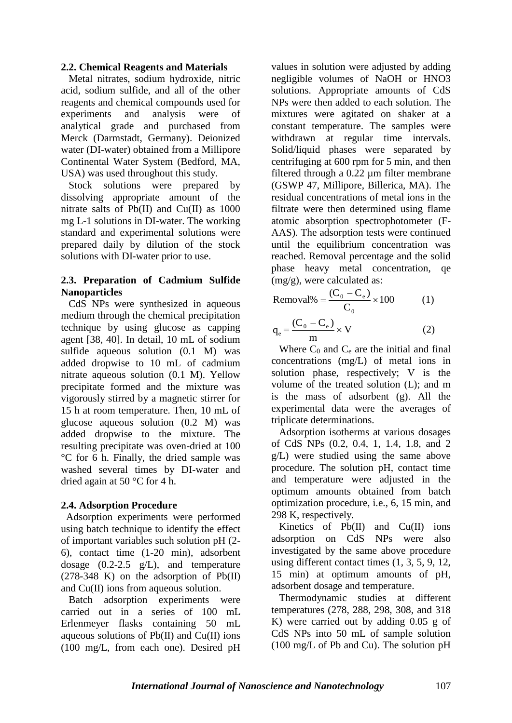## **2.2. Chemical Reagents and Materials**

Metal nitrates, sodium hydroxide, nitric acid, sodium sulfide, and all of the other reagents and chemical compounds used for experiments and analysis were of analytical grade and purchased from Merck (Darmstadt, Germany). Deionized water (DI-water) obtained from a Millipore Continental Water System (Bedford, MA, USA) was used throughout this study.

Stock solutions were prepared by dissolving appropriate amount of the nitrate salts of Pb(II) and Cu(II) as  $1000$ mg L-1 solutions in DI-water. The working standard and experimental solutions were prepared daily by dilution of the stock solutions with DI-water prior to use.

# **2.3. Preparation of Cadmium Sulfide Nanoparticles**

 CdS NPs were synthesized in aqueous medium through the chemical precipitation technique by using glucose as capping agent [\[38,](#page-11-1) [40\]](#page-11-2). In detail, 10 mL of sodium sulfide aqueous solution (0.1 M) was added dropwise to 10 mL of cadmium nitrate aqueous solution (0.1 M). Yellow precipitate formed and the mixture was vigorously stirred by a magnetic stirrer for 15 h at room temperature. Then, 10 mL of glucose aqueous solution (0.2 M) was added dropwise to the mixture. The resulting precipitate was oven-dried at 100 °C for 6 h. Finally, the dried sample was washed several times by DI-water and dried again at 50 °C for 4 h.

# **2.4. Adsorption Procedure**

 Adsorption experiments were performed using batch technique to identify the effect of important variables such solution pH (2- 6), contact time (1-20 min), adsorbent dosage (0.2-2.5 g/L), and temperature  $(278-348)$  K) on the adsorption of Pb(II) and Cu(II) ions from aqueous solution.

Batch adsorption experiments were carried out in a series of 100 mL Erlenmeyer flasks containing 50 mL aqueous solutions of  $Pb(II)$  and  $Cu(II)$  ions (100 mg/L, from each one). Desired pH values in solution were adjusted by adding negligible volumes of NaOH or HNO3 solutions. Appropriate amounts of CdS NPs were then added to each solution. The mixtures were agitated on shaker at a constant temperature. The samples were withdrawn at regular time intervals. Solid/liquid phases were separated by centrifuging at 600 rpm for 5 min, and then filtered through a 0.22 µm filter membrane (GSWP 47, Millipore, Billerica, MA). The residual concentrations of metal ions in the filtrate were then determined using flame atomic absorption spectrophotometer (F-AAS). The adsorption tests were continued until the equilibrium concentration was reached. Removal percentage and the solid phase heavy metal concentration, qe (mg/g), were calculated as:

$$
\text{Removal\%} = \frac{(\mathbf{C}_0 - \mathbf{C}_e)}{\mathbf{C}_0} \times 100 \tag{1}
$$
\n
$$
(\mathbf{C}_0 - \mathbf{C}_e) \times \mathbf{V}
$$

$$
q_e = \frac{(C_0 - C_e)}{m} \times V
$$
 (2)

Where  $C_0$  and  $C_e$  are the initial and final concentrations (mg/L) of metal ions in solution phase, respectively; V is the volume of the treated solution (L); and m is the mass of adsorbent (g). All the experimental data were the averages of triplicate determinations.

Adsorption isotherms at various dosages of CdS NPs (0.2, 0.4, 1, 1.4, 1.8, and 2 g/L) were studied using the same above procedure. The solution pH, contact time and temperature were adjusted in the optimum amounts obtained from batch optimization procedure, i.e., 6, 15 min, and 298 K, respectively.

Kinetics of  $Pb(II)$  and  $Cu(II)$  ions adsorption on CdS NPs were also investigated by the same above procedure using different contact times (1, 3, 5, 9, 12, 15 min) at optimum amounts of pH, adsorbent dosage and temperature.

Thermodynamic studies at different temperatures (278, 288, 298, 308, and 318 K) were carried out by adding 0.05 g of CdS NPs into 50 mL of sample solution (100 mg/L of Pb and Cu). The solution pH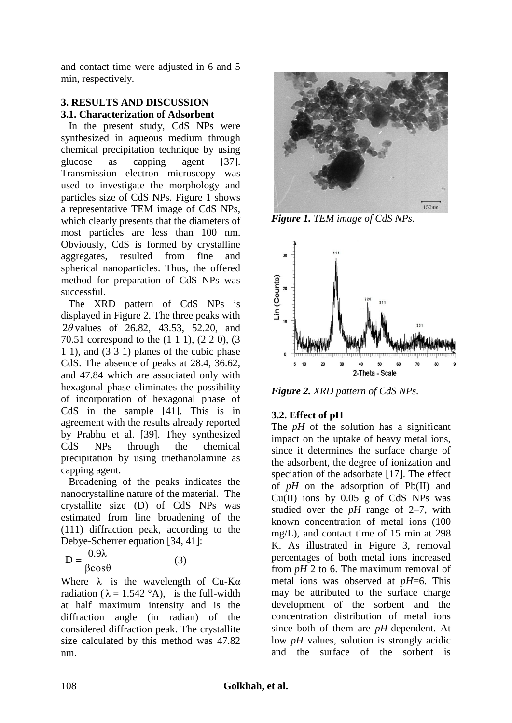and contact time were adjusted in 6 and 5 min, respectively.

# **3. RESULTS AND DISCUSSION 3.1. Characterization of Adsorbent**

In the present study, CdS NPs were synthesized in aqueous medium through chemical precipitation technique by using glucose as capping agent [\[37\]](#page-11-3). Transmission electron microscopy was used to investigate the morphology and particles size of CdS NPs. Figure 1 shows a representative TEM image of CdS NPs, which clearly presents that the diameters of most particles are less than 100 nm. Obviously, CdS is formed by crystalline aggregates, resulted from fine and spherical nanoparticles. Thus, the offered method for preparation of CdS NPs was successful.

The XRD pattern of CdS NPs is displayed in Figure 2. The three peaks with 2*θ* values of 26.82, 43.53, 52.20, and 70.51 correspond to the (1 1 1), (2 2 0), (3 1 1), and (3 3 1) planes of the cubic phase CdS. The absence of peaks at 28.4, 36.62, and 47.84 which are associated only with hexagonal phase eliminates the possibility of incorporation of hexagonal phase of CdS in the sample [\[41\]](#page-11-4). This is in agreement with the results already reported by Prabhu et al. [\[39\]](#page-11-0). They synthesized CdS NPs through the chemical precipitation by using triethanolamine as capping agent.

Broadening of the peaks indicates the nanocrystalline nature of the material. The crystallite size (D) of CdS NPs was estimated from line broadening of the (111) diffraction peak, according to the Debye-Scherrer equation [\[34,](#page-10-19) [41\]](#page-11-4):

βcosθ  $D = \frac{0.9\lambda}{2}$  (3)

Where  $\lambda$  is the wavelength of Cu-Ka radiation ( $\lambda = 1.542$  °A), is the full-width at half maximum intensity and is the diffraction angle (in radian) of the considered diffraction peak. The crystallite size calculated by this method was 47.82 nm.



*Figure 1. TEM image of CdS NPs.*



*Figure 2. XRD pattern of CdS NPs.*

# **3.2. Effect of pH**

The  $pH$  of the solution has a significant impact on the uptake of heavy metal ions, since it determines the surface charge of the adsorbent, the degree of ionization and speciation of the adsorbate [\[17\]](#page-10-4). The effect of *pH* on the adsorption of Pb(II) and Cu(II) ions by  $0.05$  g of CdS NPs was studied over the  $pH$  range of 2–7, with known concentration of metal ions (100 mg/L), and contact time of 15 min at 298 K. As illustrated in Figure 3, removal percentages of both metal ions increased from *pH* 2 to 6. The maximum removal of metal ions was observed at *pH*=6. This may be attributed to the surface charge development of the sorbent and the concentration distribution of metal ions since both of them are *pH*-dependent. At low *pH* values, solution is strongly acidic and the surface of the sorbent is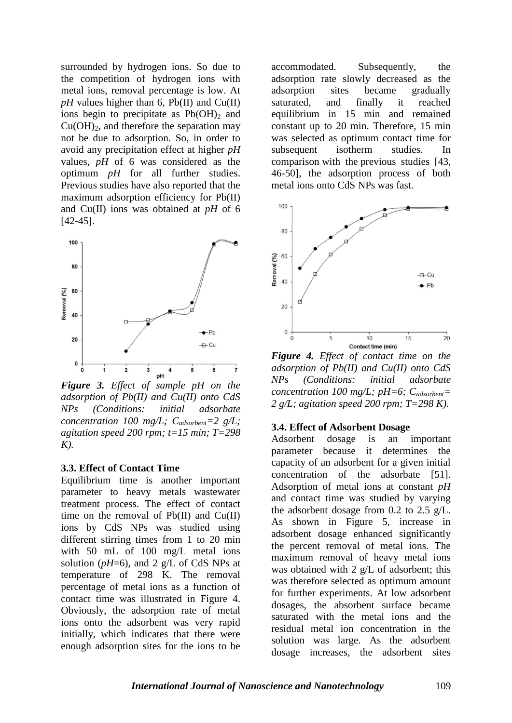surrounded by hydrogen ions. So due to the competition of hydrogen ions with metal ions, removal percentage is low. At  $pH$  values higher than 6, Pb(II) and Cu(II) ions begin to precipitate as  $Pb(OH)_2$  and  $Cu(OH)<sub>2</sub>$ , and therefore the separation may not be due to adsorption. So, in order to avoid any precipitation effect at higher *pH* values, *pH* of 6 was considered as the optimum *pH* for all further studies. Previous studies have also reported that the maximum adsorption efficiency for Pb(II) and Cu(II) ions was obtained at *pH* of 6 [\[42-45\]](#page-11-5).



*Figure 3. Effect of sample pH on the adsorption of Pb(II) and Cu(II) onto CdS NPs (Conditions: initial adsorbate concentration 100 mg/L; Cadsorbent=2 g/L; agitation speed 200 rpm; t=15 min; T=298 K).*

#### **3.3. Effect of Contact Time**

Equilibrium time is another important parameter to heavy metals wastewater treatment process. The effect of contact time on the removal of  $Pb(II)$  and  $Cu(II)$ ions by CdS NPs was studied using different stirring times from 1 to 20 min with 50 mL of 100 mg/L metal ions solution ( $pH=6$ ), and 2 g/L of CdS NPs at temperature of 298 K. The removal percentage of metal ions as a function of contact time was illustrated in Figure 4. Obviously, the adsorption rate of metal ions onto the adsorbent was very rapid initially, which indicates that there were enough adsorption sites for the ions to be

accommodated. Subsequently, the adsorption rate slowly decreased as the adsorption sites became gradually saturated, and finally it reached equilibrium in 15 min and remained constant up to 20 min. Therefore, 15 min was selected as optimum contact time for subsequent isotherm studies. In comparison with the previous studies [\[43,](#page-11-6) [46-50\]](#page-11-7), the adsorption process of both metal ions onto CdS NPs was fast.



*Figure 4. Effect of contact time on the adsorption of Pb(II) and Cu(II) onto CdS NPs (Conditions: initial adsorbate concentration 100 mg/L; pH=6; Cadsorbent= 2 g/L; agitation speed 200 rpm; T=298 K).*

#### **3.4. Effect of Adsorbent Dosage**

Adsorbent dosage is an important parameter because it determines the capacity of an adsorbent for a given initial concentration of the adsorbate [\[51\]](#page-11-8). Adsorption of metal ions at constant *pH* and contact time was studied by varying the adsorbent dosage from 0.2 to 2.5 g/L. As shown in Figure 5, increase in adsorbent dosage enhanced significantly the percent removal of metal ions. The maximum removal of heavy metal ions was obtained with 2 g/L of adsorbent; this was therefore selected as optimum amount for further experiments. At low adsorbent dosages, the absorbent surface became saturated with the metal ions and the residual metal ion concentration in the solution was large. As the adsorbent dosage increases, the adsorbent sites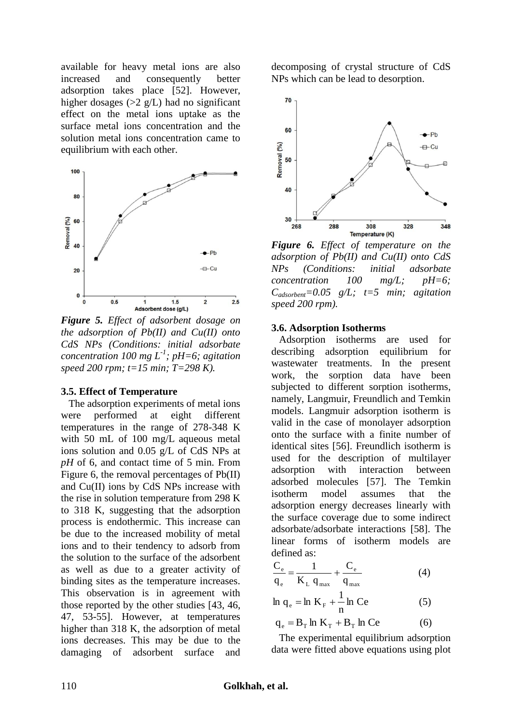available for heavy metal ions are also increased and consequently better adsorption takes place [\[52\]](#page-11-9). However, higher dosages (>2 g/L) had no significant effect on the metal ions uptake as the surface metal ions concentration and the solution metal ions concentration came to equilibrium with each other.



*Figure 5. Effect of adsorbent dosage on the adsorption of Pb(II) and Cu(II) onto CdS NPs (Conditions: initial adsorbate concentration 100 mg L-1 ; pH=6; agitation speed 200 rpm; t=15 min; T=298 K).*

## **3.5. Effect of Temperature**

The adsorption experiments of metal ions were performed at eight different temperatures in the range of 278-348 K with 50 mL of 100 mg/L aqueous metal ions solution and 0.05 g/L of CdS NPs at *pH* of 6, and contact time of 5 min. From Figure 6, the removal percentages of Pb(II) and Cu(II) ions by CdS NPs increase with the rise in solution temperature from 298 K to 318 K, suggesting that the adsorption process is endothermic. This increase can be due to the increased mobility of metal ions and to their tendency to adsorb from the solution to the surface of the adsorbent as well as due to a greater activity of binding sites as the temperature increases. This observation is in agreement with those reported by the other studies [\[43,](#page-11-6) [46,](#page-11-7) [47,](#page-11-10) [53-55\]](#page-11-11). However, at temperatures higher than 318 K, the adsorption of metal ions decreases. This may be due to the damaging of adsorbent surface and

decomposing of crystal structure of CdS NPs which can be lead to desorption.



*Figure 6. Effect of temperature on the adsorption of Pb(II) and Cu(II) onto CdS NPs (Conditions: initial adsorbate concentration 100 mg/L; pH=6; Cadsorbent=0.05 g/L; t=5 min; agitation speed 200 rpm).*

# **3.6. Adsorption Isotherms**

 Adsorption isotherms are used for describing adsorption equilibrium for wastewater treatments. In the present work, the sorption data have been subjected to different sorption isotherms, namely, Langmuir, Freundlich and Temkin models. Langmuir adsorption isotherm is valid in the case of monolayer adsorption onto the surface with a finite number of identical sites [\[56\]](#page-11-12). Freundlich isotherm is used for the description of multilayer adsorption with interaction between adsorbed molecules [\[57\]](#page-11-13). The Temkin isotherm model assumes that the adsorption energy decreases linearly with the surface coverage due to some indirect adsorbate/adsorbate interactions [\[58\]](#page-11-14). The linear forms of isotherm models are defined as:

$$
\frac{C_e}{q_e} = \frac{1}{K_L q_{max}} + \frac{C_e}{q_{max}}
$$
(4)

$$
\ln q_e = \ln K_F + \frac{1}{n} \ln Ce \tag{5}
$$

$$
q_e = B_T \ln K_T + B_T \ln Ce \tag{6}
$$

 The experimental equilibrium adsorption data were fitted above equations using plot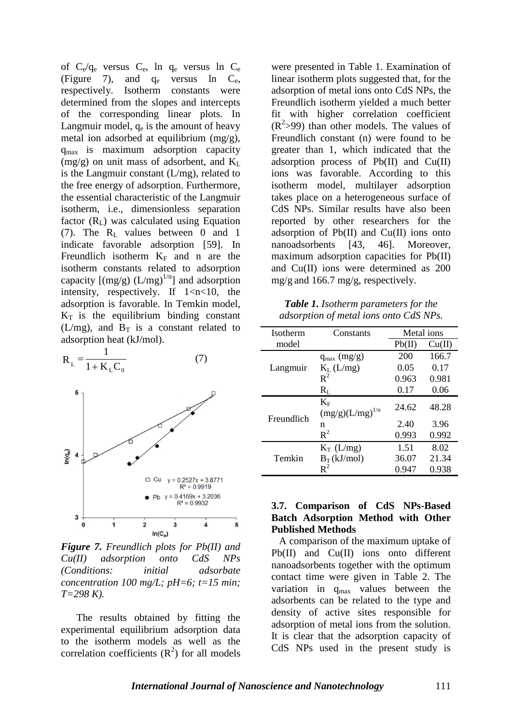of  $C_e/q_e$  versus  $C_e$ , ln  $q_e$  versus ln  $C_e$ (Figure 7), and  $q_e$  versus ln  $C_e$ , respectively. Isotherm constants were determined from the slopes and intercepts of the corresponding linear plots. In Langmuir model,  $q_e$  is the amount of heavy metal ion adsorbed at equilibrium (mg/g), qmax is maximum adsorption capacity  $(mg/g)$  on unit mass of adsorbent, and  $K<sub>L</sub>$ is the Langmuir constant (L/mg), related to the free energy of adsorption. Furthermore, the essential characteristic of the Langmuir isotherm, i.e., dimensionless separation factor  $(R<sub>L</sub>)$  was calculated using Equation (7). The  $R_L$  values between 0 and 1 indicate favorable adsorption [\[59\]](#page-11-15). In Freundlich isotherm  $K_F$  and n are the isotherm constants related to adsorption capacity  $[(mg/g) (L/mg)^{1/n}]$  and adsorption intensity, respectively. If  $1 < n < 10$ , the adsorption is favorable. In Temkin model,  $K_T$  is the equilibrium binding constant (L/mg), and  $B_T$  is a constant related to adsorption heat (kJ/mol).



*Figure 7. Freundlich plots for Pb(II) and Cu(II) adsorption onto CdS NPs (Conditions: initial adsorbate concentration 100 mg/L; pH=6; t=15 min; T=298 K).*

The results obtained by fitting the experimental equilibrium adsorption data to the isotherm models as well as the correlation coefficients  $(R<sup>2</sup>)$  for all models were presented in Table 1. Examination of linear isotherm plots suggested that, for the adsorption of metal ions onto CdS NPs, the Freundlich isotherm yielded a much better fit with higher correlation coefficient  $(R<sup>2</sup>>99)$  than other models. The values of Freundlich constant (n) were found to be greater than 1, which indicated that the adsorption process of Pb(II) and Cu(II) ions was favorable. According to this isotherm model, multilayer adsorption takes place on a heterogeneous surface of CdS NPs. Similar results have also been reported by other researchers for the adsorption of  $Pb(II)$  and  $Cu(II)$  ions onto nanoadsorbents [\[43,](#page-11-6) [46\]](#page-11-7). Moreover, maximum adsorption capacities for Pb(II) and Cu(II) ions were determined as 200 mg/g and 166.7 mg/g, respectively.

*Table 1. Isotherm parameters for the adsorption of metal ions onto CdS NPs.*

| <b>Isotherm</b> | Constants                           | Metal ions |        |  |
|-----------------|-------------------------------------|------------|--------|--|
| model           |                                     | Pb(II)     | Cu(II) |  |
|                 | $q_{max}$ (mg/g)                    | 200        | 166.7  |  |
| Langmuir        | $K_L$ (L/mg)                        | 0.05       | 0.17   |  |
|                 | $R^2$                               | 0.963      | 0.981  |  |
|                 | $R_L$                               | 0.17       | 0.06   |  |
| Freundlich      | $K_{\rm F}$<br>$(mg/g)(L/mg)^{1/n}$ | 24.62      | 48.28  |  |
|                 | n                                   | 2.40       | 3.96   |  |
|                 | $R^2$                               | 0.993      | 0.992  |  |
| Temkin          | $K_T$ (L/mg)                        | 1.51       | 8.02   |  |
|                 | $B_T(kJ/mol)$                       | 36.07      | 21.34  |  |
|                 | $R^2$                               | 0.947      | 0.938  |  |

## **3.7. Comparison of CdS NPs-Based Batch Adsorption Method with Other Published Methods**

A comparison of the maximum uptake of Pb(II) and Cu(II) ions onto different nanoadsorbents together with the optimum contact time were given in Table 2. The variation in  $q_{max}$  values between the adsorbents can be related to the type and density of active sites responsible for adsorption of metal ions from the solution. It is clear that the adsorption capacity of CdS NPs used in the present study is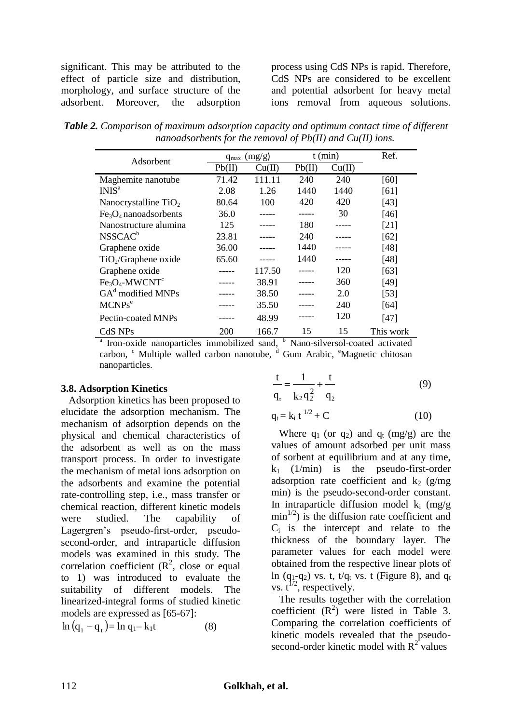significant. This may be attributed to the effect of particle size and distribution, morphology, and surface structure of the adsorbent. Moreover, the adsorption process using CdS NPs is rapid. Therefore, CdS NPs are considered to be excellent and potential adsorbent for heavy metal ions removal from aqueous solutions.

*Table 2. Comparison of maximum adsorption capacity and optimum contact time of different nanoadsorbents for the removal of Pb(II) and Cu(II) ions.*

| Adsorbent                        | (mg/g)<br>$q_{\text{max}}$ |        | $t$ (min) |        | Ref.      |
|----------------------------------|----------------------------|--------|-----------|--------|-----------|
|                                  | Pb(II)                     | Cu(II) | Pb(II)    | Cu(II) |           |
| Maghemite nanotube               | 71.42                      | 111.11 | 240       | 240    | [60]      |
| INIS <sup>a</sup>                | 2.08                       | 1.26   | 1440      | 1440   | [61]      |
| Nanocrystalline $TiO2$           | 80.64                      | 100    | 420       | 420    | $[43]$    |
| $Fe3O4$ nanoadsorbents           | 36.0                       |        |           | 30     | [46]      |
| Nanostructure alumina            | 125                        |        | 180       |        | [21]      |
| NSSCAC <sup>b</sup>              | 23.81                      |        | 240       |        | [62]      |
| Graphene oxide                   | 36.00                      |        | 1440      |        | [48]      |
| TiO <sub>2</sub> /Graphene oxide | 65.60                      |        | 1440      |        | [48]      |
| Graphene oxide                   |                            | 117.50 |           | 120    | [63]      |
| $Fe3O4$ -MWCNT <sup>c</sup>      |                            | 38.91  |           | 360    | [49]      |
| $GAd$ modified MNPs              |                            | 38.50  |           | 2.0    | $[53]$    |
| MCNPs <sup>e</sup>               |                            | 35.50  |           | 240    | [64]      |
| Pectin-coated MNPs               |                            | 48.99  |           | 120    | [47]      |
| CdS NPs                          | 200                        | 166.7  | 15        | 15     | This work |

<sup>a</sup> Iron-oxide nanoparticles immobilized sand, <sup>b</sup> Nano-silversol-coated activated carbon, <sup>c</sup> Multiple walled carbon nanotube, <sup>d</sup> Gum Arabic, <sup>e</sup>Magnetic chitosan nanoparticles.

# **3.8. Adsorption Kinetics**

Adsorption kinetics has been proposed to elucidate the adsorption mechanism. The mechanism of adsorption depends on the physical and chemical characteristics of the adsorbent as well as on the mass transport process. In order to investigate the mechanism of metal ions adsorption on the adsorbents and examine the potential rate-controlling step, i.e., mass transfer or chemical reaction, different kinetic models were studied. The capability of Lagergren's pseudo-first-order, pseudosecond-order, and intraparticle diffusion models was examined in this study. The correlation coefficient  $(R^2, \text{ close or equal})$ to 1) was introduced to evaluate the suitability of different models. The linearized-integral forms of studied kinetic models are expressed as [\[65-67\]](#page-12-1):

 $\ln (q_1 - q_t) = \ln q_1 - k_1t$  (8)

$$
\frac{t}{q_t} = \frac{1}{k_2 q_2^2} + \frac{t}{q_2}
$$
(9)  
 
$$
q_t = k_i t^{1/2} + C
$$
(10)

Where  $q_1$  (or  $q_2$ ) and  $q_t$  (mg/g) are the values of amount adsorbed per unit mass of sorbent at equilibrium and at any time,  $k_1$  (1/min) is the pseudo-first-order adsorption rate coefficient and  $k_2$  (g/mg) min) is the pseudo-second-order constant. In intraparticle diffusion model  $k_i$  (mg/g)  $min<sup>1/2</sup>$ ) is the diffusion rate coefficient and  $C_i$  is the intercept and relate to the thickness of the boundary layer. The parameter values for each model were obtained from the respective linear plots of ln (q<sub>1</sub>-q<sub>2</sub>) vs. t, t/q<sub>t</sub> vs. t (Figure 8), and q<sub>t</sub> vs.  $t^{1/2}$ , respectively.

The results together with the correlation coefficient  $(R^2)$  were listed in Table 3. Comparing the correlation coefficients of kinetic models revealed that the pseudosecond-order kinetic model with  $R^2$  values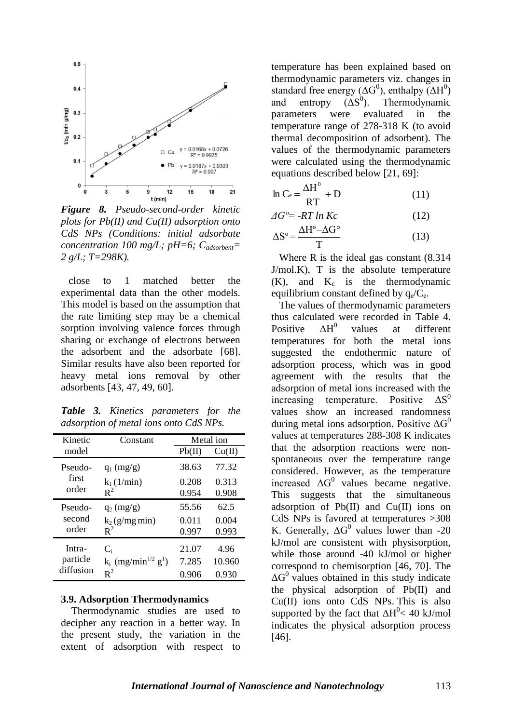

*Figure 8. Pseudo-second-order kinetic plots for Pb(II) and Cu(II) adsorption onto CdS NPs (Conditions: initial adsorbate concentration 100 mg/L; pH=6; Cadsorbent= 2 g/L; T=298K).*

close to 1 matched better the experimental data than the other models. This model is based on the assumption that the rate limiting step may be a chemical sorption involving valence forces through sharing or exchange of electrons between the adsorbent and the adsorbate [\[68\]](#page-12-2). Similar results have also been reported for heavy metal ions removal by other adsorbents [\[43,](#page-11-6) [47,](#page-11-10) [49,](#page-11-21) [60\]](#page-11-16).

*Table 3. Kinetics parameters for the adsorption of metal ions onto CdS NPs.*

| Kinetic                         | Constant                                      | Metal ion |        |  |
|---------------------------------|-----------------------------------------------|-----------|--------|--|
| model                           |                                               | Pb(II)    | Cu(II) |  |
| Pseudo-<br>first<br>order       | $q_1$ (mg/g)                                  | 38.63     | 77.32  |  |
|                                 | $k_1(1/\text{min})$                           | 0.208     | 0.313  |  |
|                                 | $R^2$                                         | 0.954     | 0.908  |  |
| Pseudo-<br>second<br>order      | $q_2$ (mg/g)                                  | 55.56     | 62.5   |  |
|                                 | $k_2$ (g/mg min)                              | 0.011     | 0.004  |  |
|                                 | $R^2$                                         | 0.997     | 0.993  |  |
| Intra-<br>particle<br>diffusion | $C_i$                                         | 21.07     | 4.96   |  |
|                                 | $k_i$ (mg/min <sup>1/2</sup> g <sup>1</sup> ) | 7.285     | 10.960 |  |
|                                 | $R^2$                                         | 0.906     | 0.930  |  |

#### **3.9. Adsorption Thermodynamics**

Thermodynamic studies are used to decipher any reaction in a better way. In the present study, the variation in the extent of adsorption with respect to

temperature has been explained based on thermodynamic parameters viz. changes in standard free energy ( $\Delta G^0$ ), enthalpy ( $\Delta H^0$ ) and entropy  $( \Delta S^0 )$ . ). Thermodynamic parameters were evaluated in the temperature range of 278-318 K (to avoid thermal decomposition of adsorbent). The values of the thermodynamic parameters were calculated using the thermodynamic equations described below [\[21,](#page-10-8) [69\]](#page-12-3):

$$
\ln C_e = \frac{\Delta H^0}{RT} + D \tag{11}
$$

$$
\Delta G^{\circ} = -RT \ln Kc \tag{12}
$$

$$
\Delta S^{\circ} = \frac{\Delta H^{\circ} - \Delta G^{\circ}}{T}
$$
 (13)

Where R is the ideal gas constant (8.314  $J/mol.K$ ), T is the absolute temperature  $(K)$ , and  $K_c$  is the thermodynamic equilibrium constant defined by  $q_e/C_e$ .

The values of thermodynamic parameters thus calculated were recorded in Table 4. Positive  $\Delta H^0$  values at different temperatures for both the metal ions suggested the endothermic nature of adsorption process, which was in good agreement with the results that the adsorption of metal ions increased with the<br>increasing temperature. Positive  $\Delta S^0$ increasing temperature. Positive values show an increased randomness during metal ions adsorption. Positive  $\Delta G^0$ values at temperatures 288-308 K indicates that the adsorption reactions were nonspontaneous over the temperature range considered. However, as the temperature increased  $\Delta G^0$  values became negative. This suggests that the simultaneous adsorption of  $Pb(II)$  and  $Cu(II)$  ions on CdS NPs is favored at temperatures >308 K. Generally,  $\Delta G^0$  values lower than -20 kJ/mol are consistent with physisorption, while those around -40 kJ/mol or higher correspond to chemisorption [\[46,](#page-11-7) [70\]](#page-12-4). The  $\Delta G^0$  values obtained in this study indicate the physical adsorption of Pb(II) and Cu(II) ions onto CdS NPs. This is also supported by the fact that  $\Delta H^0$  < 40 kJ/mol indicates the physical adsorption process [\[46\]](#page-11-7).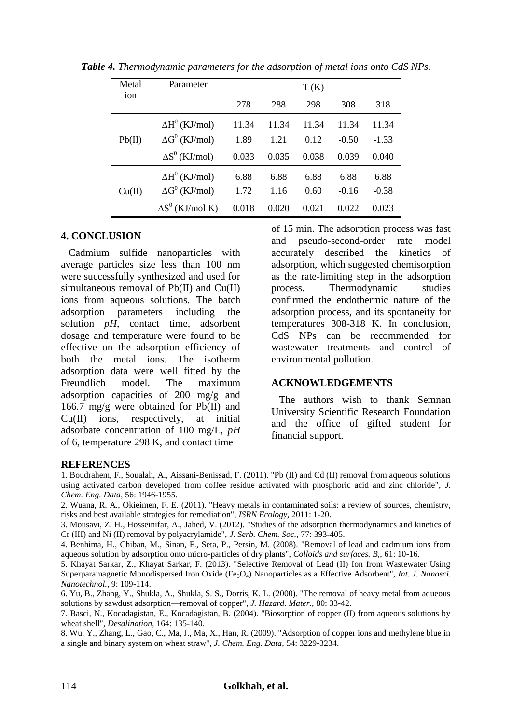| Metal  | Parameter               |       |       | T(K)  |         |         |  |
|--------|-------------------------|-------|-------|-------|---------|---------|--|
| ion    |                         | 278   | 288   | 298   | 308     | 318     |  |
|        | $\Delta H^0$ (KJ/mol)   | 11.34 | 11.34 | 11.34 | 11.34   | 11.34   |  |
| Pb(II) | $\Delta G^0$ (KJ/mol)   | 1.89  | 1.21  | 0.12  | $-0.50$ | $-1.33$ |  |
|        | $\Delta S^0$ (KJ/mol)   | 0.033 | 0.035 | 0.038 | 0.039   | 0.040   |  |
|        | $\Delta H^0$ (KJ/mol)   | 6.88  | 6.88  | 6.88  | 6.88    | 6.88    |  |
| Cu(II) | $\Delta G^0$ (KJ/mol)   | 1.72  | 1.16  | 0.60  | $-0.16$ | $-0.38$ |  |
|        | $\Delta S^0$ (KJ/mol K) | 0.018 | 0.020 | 0.021 | 0.022   | 0.023   |  |

*Table 4. Thermodynamic parameters for the adsorption of metal ions onto CdS NPs.*

# **4. CONCLUSION**

Cadmium sulfide nanoparticles with average [particles size](http://academic.research.microsoft.com/Keyword/30271/particle-size) less than 100 nm were successfully synthesized and used for simultaneous removal of  $Pb(II)$  and  $Cu(II)$ ions from aqueous solutions. The batch adsorption parameters including the solution *pH*, contact time, adsorbent dosage and temperature were found to be effective on the adsorption efficiency of both the metal ions. The isotherm adsorption data were well fitted by the Freundlich model. The maximum adsorption capacities of 200 mg/g and 166.7 mg/g were obtained for Pb(II) and Cu(II) ions, respectively, at initial adsorbate concentration of 100 mg/L, *pH* of 6, temperature 298 K, and contact time

of 15 min. The adsorption process was fast and pseudo-second-order rate model accurately described the kinetics of adsorption, which suggested chemisorption as the rate-limiting step in the adsorption process. Thermodynamic studies confirmed the endothermic nature of the adsorption process, and its spontaneity for temperatures 308-318 K. In conclusion, CdS NPs can be recommended for wastewater treatments and control of environmental pollution.

## **ACKNOWLEDGEMENTS**

The authors wish to thank Semnan University Scientific Research Foundation and the office of gifted student for financial support.

#### **REFERENCES**

<span id="page-9-0"></span>1. Boudrahem, F., Soualah, A., Aissani-Benissad, F. (2011). "Pb (II) and Cd (II) removal from aqueous solutions using activated carbon developed from coffee residue activated with phosphoric acid and zinc chloride", *J. Chem. Eng. Data,* 56: 1946-1955.

2. Wuana, R. A., Okieimen, F. E. (2011). "Heavy metals in contaminated soils: a review of sources, chemistry, risks and best available strategies for remediation", *ISRN Ecology,* 2011: 1-20.

<span id="page-9-4"></span>3. Mousavi, Z. H., Hosseinifar, A., Jahed, V. (2012). "Studies of the adsorption thermodynamics and kinetics of Cr (III) and Ni (II) removal by polyacrylamide", *J. Serb. Chem. Soc.,* 77: 393-405.

<span id="page-9-1"></span>4. Benhima, H., Chiban, M., Sinan, F., Seta, P., Persin, M. (2008). "Removal of lead and cadmium ions from aqueous solution by adsorption onto micro-particles of dry plants", *Colloids and surfaces. B,,* 61: 10-16.

<span id="page-9-2"></span>5. Khayat Sarkar, Z., Khayat Sarkar, F. (2013). "Selective Removal of Lead (II) Ion from Wastewater Using Superparamagnetic Monodispersed Iron Oxide (Fe<sub>3</sub>O<sub>4</sub>) Nanoparticles as a Effective Adsorbent", *Int. J. Nanosci. Nanotechnol.,* 9: 109-114.

<span id="page-9-3"></span>6. Yu, B., Zhang, Y., Shukla, A., Shukla, S. S., Dorris, K. L. (2000). "The removal of heavy metal from aqueous solutions by sawdust adsorption—removal of copper", *J. Hazard. Mater.,* 80: 33-42.

7. Basci, N., Kocadagistan, E., Kocadagistan, B. (2004). "Biosorption of copper (II) from aqueous solutions by wheat shell", *Desalination,* 164: 135-140.

8. Wu, Y., Zhang, L., Gao, C., Ma, J., Ma, X., Han, R. (2009). "Adsorption of copper ions and methylene blue in a single and binary system on wheat straw", *J. Chem. Eng. Data,* 54: 3229-3234.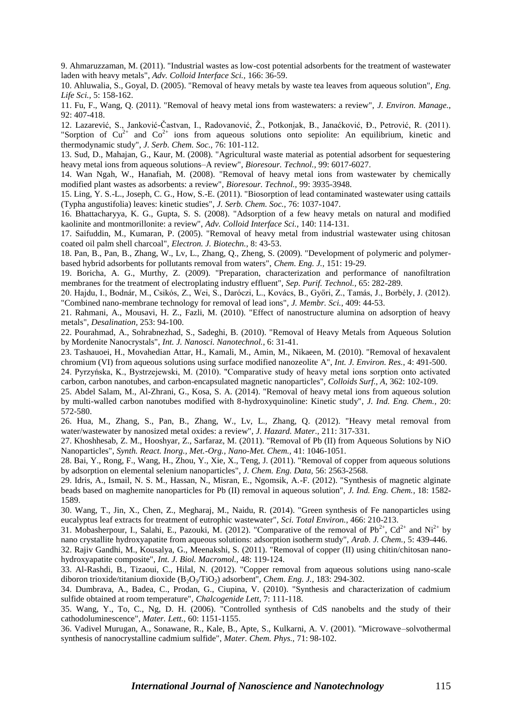<span id="page-10-0"></span>9. Ahmaruzzaman, M. (2011). "Industrial wastes as low-cost potential adsorbents for the treatment of wastewater laden with heavy metals", *Adv. Colloid Interface Sci.,* 166: 36-59.

<span id="page-10-1"></span>10. Ahluwalia, S., Goyal, D. (2005). "Removal of heavy metals by waste tea leaves from aqueous solution", *Eng. Life Sci.,* 5: 158-162.

11. Fu, F., Wang, Q. (2011). "Removal of heavy metal ions from wastewaters: a review", *J. Environ. Manage.,* 92: 407-418.

12. Lazarević, S., Janković-Častvan, I., Radovanović, Ž., Potkonjak, B., Janaćković, Đ., Petrović, R. (2011). "Sorption of  $Cu^{2+}$  and  $Co^{2+}$  ions from aqueous solutions onto sepiolite: An equilibrium, kinetic and thermodynamic study", *J. Serb. Chem. Soc.,* 76: 101-112.

<span id="page-10-2"></span>13. Sud, D., Mahajan, G., Kaur, M. (2008). "Agricultural waste material as potential adsorbent for sequestering heavy metal ions from aqueous solutions–A review", *Bioresour. Technol.,* 99: 6017-6027.

14. Wan Ngah, W., Hanafiah, M. (2008). "Removal of heavy metal ions from wastewater by chemically modified plant wastes as adsorbents: a review", *Bioresour. Technol.,* 99: 3935-3948.

15. Ling, Y. S.-L., Joseph, C. G., How, S.-E. (2011). "Biosorption of lead contaminated wastewater using cattails (Typha angustifolia) leaves: kinetic studies", *J. Serb. Chem. Soc.,* 76: 1037-1047.

<span id="page-10-3"></span>16. Bhattacharyya, K. G., Gupta, S. S. (2008). "Adsorption of a few heavy metals on natural and modified kaolinite and montmorillonite: a review", *Adv. Colloid Interface Sci.,* 140: 114-131.

<span id="page-10-4"></span>17. Saifuddin, M., Kumaran, P. (2005). "Removal of heavy metal from industrial wastewater using chitosan coated oil palm shell charcoal", *Electron. J. Biotechn.,* 8: 43-53.

<span id="page-10-5"></span>18. Pan, B., Pan, B., Zhang, W., Lv, L., Zhang, Q., Zheng, S. (2009). "Development of polymeric and polymerbased hybrid adsorbents for pollutants removal from waters", *Chem. Eng. J.,* 151: 19-29.

<span id="page-10-6"></span>19. Boricha, A. G., Murthy, Z. (2009). "Preparation, characterization and performance of nanofiltration membranes for the treatment of electroplating industry effluent", *Sep. Purif. Technol.,* 65: 282-289.

<span id="page-10-7"></span>20. Hajdu, I., Bodnár, M., Csikós, Z., Wei, S., Daróczi, L., Kovács, B., Győri, Z., Tamás, J., Borbély, J. (2012). "Combined nano-membrane technology for removal of lead ions", *J. Membr. Sci.,* 409: 44-53.

<span id="page-10-8"></span>21. Rahmani, A., Mousavi, H. Z., Fazli, M. (2010). "Effect of nanostructure alumina on adsorption of heavy metals", *Desalination,* 253: 94-100.

<span id="page-10-9"></span>22. Pourahmad, A., Sohrabnezhad, S., Sadeghi, B. (2010). "Removal of Heavy Metals from Aqueous Solution by Mordenite Nanocrystals", *Int. J. Nanosci. Nanotechnol.,* 6: 31-41.

<span id="page-10-10"></span>23. Tashauoei, H., Movahedian Attar, H., Kamali, M., Amin, M., Nikaeen, M. (2010). "Removal of hexavalent chromium (VI) from aqueous solutions using surface modified nanozeolite A", *Int. J. Environ. Res.,* 4: 491-500.

<span id="page-10-11"></span>24. Pyrzyńska, K., Bystrzejewski, M. (2010). "Comparative study of heavy metal ions sorption onto activated carbon, carbon nanotubes, and carbon-encapsulated magnetic nanoparticles", *Colloids Surf., A,* 362: 102-109.

<span id="page-10-12"></span>25. Abdel Salam, M., Al-Zhrani, G., Kosa, S. A. (2014). "Removal of heavy metal ions from aqueous solution by multi-walled carbon nanotubes modified with 8-hydroxyquinoline: Kinetic study", *J. Ind. Eng. Chem.,* 20: 572-580.

<span id="page-10-13"></span>26. Hua, M., Zhang, S., Pan, B., Zhang, W., Lv, L., Zhang, Q. (2012). "Heavy metal removal from water/wastewater by nanosized metal oxides: a review", *J. Hazard. Mater.,* 211: 317-331.

<span id="page-10-14"></span>27. Khoshhesab, Z. M., Hooshyar, Z., Sarfaraz, M. (2011). "Removal of Pb (II) from Aqueous Solutions by NiO Nanoparticles", *Synth. React. Inorg., Met.-Org., Nano-Met. Chem.,* 41: 1046-1051.

<span id="page-10-15"></span>28. Bai, Y., Rong, F., Wang, H., Zhou, Y., Xie, X., Teng, J. (2011). "Removal of copper from aqueous solutions by adsorption on elemental selenium nanoparticles", *J. Chem. Eng. Data,* 56: 2563-2568.

29. Idris, A., Ismail, N. S. M., Hassan, N., Misran, E., Ngomsik, A.-F. (2012). "Synthesis of magnetic alginate beads based on maghemite nanoparticles for Pb (II) removal in aqueous solution", *J. Ind. Eng. Chem.,* 18: 1582- 1589.

30. Wang, T., Jin, X., Chen, Z., Megharaj, M., Naidu, R. (2014). "Green synthesis of Fe nanoparticles using eucalyptus leaf extracts for treatment of eutrophic wastewater", *Sci. Total Environ.,* 466: 210-213.

<span id="page-10-16"></span>31. Mobasherpour, I., Salahi, E., Pazouki, M. (2012). "Comparative of the removal of  $Pb^{2+}$ , Cd<sup>2+</sup> and Ni<sup>2+</sup> by nano crystallite hydroxyapatite from aqueous solutions: adsorption isotherm study", *Arab. J. Chem.,* 5: 439-446.

<span id="page-10-17"></span>32. Rajiv Gandhi, M., Kousalya, G., Meenakshi, S. (2011). "Removal of copper (II) using chitin/chitosan nanohydroxyapatite composite", *Int. J. Biol. Macromol.,* 48: 119-124.

<span id="page-10-18"></span>33. Al-Rashdi, B., Tizaoui, C., Hilal, N. (2012). "Copper removal from aqueous solutions using nano-scale diboron trioxide/titanium dioxide (B<sub>2</sub>O<sub>3</sub>/TiO<sub>2</sub>) adsorbent", *Chem. Eng. J.*, 183: 294-302.

<span id="page-10-19"></span>34. Dumbrava, A., Badea, C., Prodan, G., Ciupina, V. (2010). "Synthesis and characterization of cadmium sulfide obtained at room temperature", *Chalcogenide Lett,* 7: 111-118.

<span id="page-10-20"></span>35. Wang, Y., To, C., Ng, D. H. (2006). "Controlled synthesis of CdS nanobelts and the study of their cathodoluminescence", *Mater. Lett.,* 60: 1151-1155.

<span id="page-10-21"></span>36. Vadivel Murugan, A., Sonawane, R., Kale, B., Apte, S., Kulkarni, A. V. (2001). "Microwave–solvothermal synthesis of nanocrystalline cadmium sulfide", *Mater. Chem. Phys.,* 71: 98-102.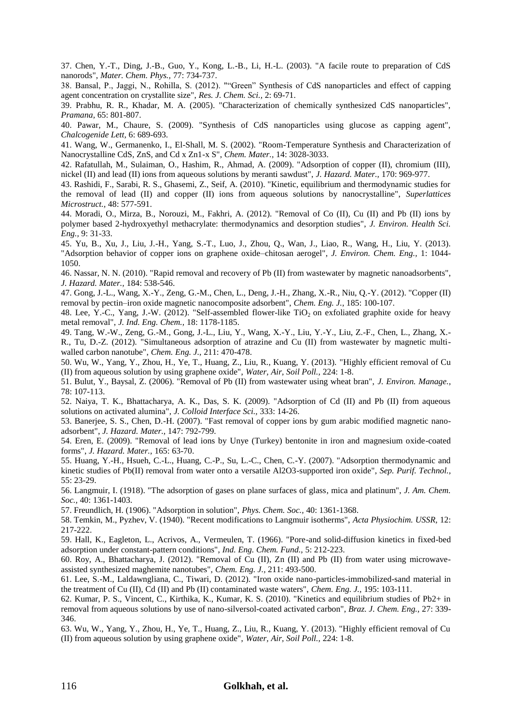<span id="page-11-3"></span>37. Chen, Y.-T., Ding, J.-B., Guo, Y., Kong, L.-B., Li, H.-L. (2003). "A facile route to preparation of CdS nanorods", *Mater. Chem. Phys.,* 77: 734-737.

<span id="page-11-1"></span>38. Bansal, P., Jaggi, N., Rohilla, S. (2012). ""Green" Synthesis of CdS nanoparticles and effect of capping agent concentration on crystallite size", *Res. J. Chem. Sci.,* 2: 69-71.

<span id="page-11-0"></span>39. Prabhu, R. R., Khadar, M. A. (2005). "Characterization of chemically synthesized CdS nanoparticles", *Pramana,* 65: 801-807.

<span id="page-11-2"></span>40. Pawar, M., Chaure, S. (2009). "Synthesis of CdS nanoparticles using glucose as capping agent", *Chalcogenide Lett,* 6: 689-693.

<span id="page-11-4"></span>41. Wang, W., Germanenko, I., El-Shall, M. S. (2002). "Room-Temperature Synthesis and Characterization of Nanocrystalline CdS, ZnS, and Cd x Zn1-x S", *Chem. Mater.,* 14: 3028-3033.

<span id="page-11-5"></span>42. Rafatullah, M., Sulaiman, O., Hashim, R., Ahmad, A. (2009). "Adsorption of copper (II), chromium (III), nickel (II) and lead (II) ions from aqueous solutions by meranti sawdust", *J. Hazard. Mater.,* 170: 969-977.

<span id="page-11-6"></span>43. Rashidi, F., Sarabi, R. S., Ghasemi, Z., Seif, A. (2010). "Kinetic, equilibrium and thermodynamic studies for the removal of lead (II) and copper (II) ions from aqueous solutions by nanocrystalline", *Superlattices Microstruct.,* 48: 577-591.

44. Moradi, O., Mirza, B., Norouzi, M., Fakhri, A. (2012). "Removal of Co (II), Cu (II) and Pb (II) ions by polymer based 2-hydroxyethyl methacrylate: thermodynamics and desorption studies", *J. Environ. Health Sci. Eng.,* 9: 31-33.

45. Yu, B., Xu, J., Liu, J.-H., Yang, S.-T., Luo, J., Zhou, Q., Wan, J., Liao, R., Wang, H., Liu, Y. (2013). "Adsorption behavior of copper ions on graphene oxide–chitosan aerogel", *J. Environ. Chem. Eng.,* 1: 1044- 1050.

<span id="page-11-7"></span>46. Nassar, N. N. (2010). "Rapid removal and recovery of Pb (II) from wastewater by magnetic nanoadsorbents", *J. Hazard. Mater.,* 184: 538-546.

<span id="page-11-10"></span>47. Gong, J.-L., Wang, X.-Y., Zeng, G.-M., Chen, L., Deng, J.-H., Zhang, X.-R., Niu, Q.-Y. (2012). "Copper (II) removal by pectin–iron oxide magnetic nanocomposite adsorbent", *Chem. Eng. J.,* 185: 100-107.

<span id="page-11-19"></span>48. Lee, Y.-C., Yang, J.-W. (2012). "Self-assembled flower-like TiO<sub>2</sub> on exfoliated graphite oxide for heavy metal removal", *J. Ind. Eng. Chem.,* 18: 1178-1185.

<span id="page-11-21"></span>49. Tang, W.-W., Zeng, G.-M., Gong, J.-L., Liu, Y., Wang, X.-Y., Liu, Y.-Y., Liu, Z.-F., Chen, L., Zhang, X.- R., Tu, D.-Z. (2012). "Simultaneous adsorption of atrazine and Cu (II) from wastewater by magnetic multiwalled carbon nanotube", *Chem. Eng. J.,* 211: 470-478.

50. Wu, W., Yang, Y., Zhou, H., Ye, T., Huang, Z., Liu, R., Kuang, Y. (2013). "Highly efficient removal of Cu (II) from aqueous solution by using graphene oxide", *Water, Air, Soil Poll.,* 224: 1-8.

<span id="page-11-8"></span>51. Bulut, Y., Baysal, Z. (2006). "Removal of Pb (II) from wastewater using wheat bran", *J. Environ. Manage.,* 78: 107-113.

<span id="page-11-9"></span>52. Naiya, T. K., Bhattacharya, A. K., Das, S. K. (2009). "Adsorption of Cd (II) and Pb (II) from aqueous solutions on activated alumina", *J. Colloid Interface Sci.,* 333: 14-26.

<span id="page-11-11"></span>53. Banerjee, S. S., Chen, D.-H. (2007). "Fast removal of copper ions by gum arabic modified magnetic nanoadsorbent", *J. Hazard. Mater.,* 147: 792-799.

54. Eren, E. (2009). "Removal of lead ions by Unye (Turkey) bentonite in iron and magnesium oxide-coated forms", *J. Hazard. Mater.,* 165: 63-70.

55. Huang, Y.-H., Hsueh, C.-L., Huang, C.-P., Su, L.-C., Chen, C.-Y. (2007). "Adsorption thermodynamic and kinetic studies of Pb(II) removal from water onto a versatile Al2O3-supported iron oxide", *Sep. Purif. Technol.,* 55: 23-29.

<span id="page-11-12"></span>56. Langmuir, I. (1918). "The adsorption of gases on plane surfaces of glass, mica and platinum", *J. Am. Chem. Soc.,* 40: 1361-1403.

<span id="page-11-13"></span>57. Freundlich, H. (1906). "Adsorption in solution", *Phys. Chem. Soc.,* 40: 1361-1368.

<span id="page-11-14"></span>58. Temkin, M., Pyzhev, V. (1940). "Recent modifications to Langmuir isotherms", *Acta Physiochim. USSR,* 12: 217-222.

<span id="page-11-15"></span>59. Hall, K., Eagleton, L., Acrivos, A., Vermeulen, T. (1966). "Pore-and solid-diffusion kinetics in fixed-bed adsorption under constant-pattern conditions", *Ind. Eng. Chem. Fund.,* 5: 212-223.

<span id="page-11-16"></span>60. Roy, A., Bhattacharya, J. (2012). "Removal of Cu (II), Zn (II) and Pb (II) from water using microwaveassisted synthesized maghemite nanotubes", *Chem. Eng. J.,* 211: 493-500.

<span id="page-11-17"></span>61. Lee, S.-M., Laldawngliana, C., Tiwari, D. (2012). "Iron oxide nano-particles-immobilized-sand material in the treatment of Cu (II), Cd (II) and Pb (II) contaminated waste waters", *Chem. Eng. J.,* 195: 103-111.

<span id="page-11-18"></span>62. Kumar, P. S., Vincent, C., Kirthika, K., Kumar, K. S. (2010). "Kinetics and equilibrium studies of Pb2+ in removal from aqueous solutions by use of nano-silversol-coated activated carbon", *Braz. J. Chem. Eng.,* 27: 339- 346.

<span id="page-11-20"></span>63. Wu, W., Yang, Y., Zhou, H., Ye, T., Huang, Z., Liu, R., Kuang, Y. (2013). "Highly efficient removal of Cu (II) from aqueous solution by using graphene oxide", *Water, Air, Soil Poll.,* 224: 1-8.